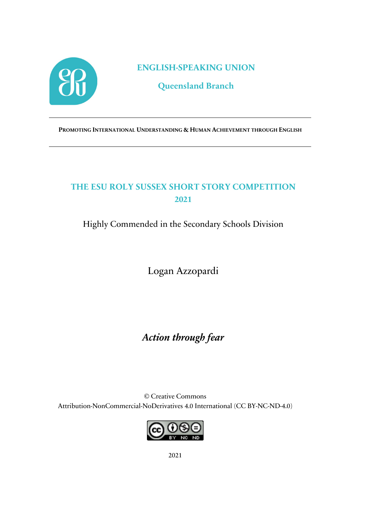

**ENGLISH-SPEAKING UNION**

**Queensland Branch**

**PROMOTING INTERNATIONAL UNDERSTANDING & HUMAN ACHIEVEMENT THROUGH ENGLISH**

## **THE ESU ROLY SUSSEX SHORT STORY COMPETITION 2021**

Highly Commended in the Secondary Schools Division

Logan Azzopardi

*Action through fear*

© Creative Commons Attribution-NonCommercial-NoDerivatives 4.0 International (CC BY-NC-ND-4.0)



2021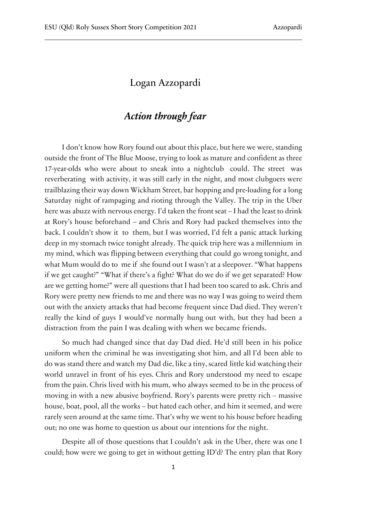## Logan Azzopardi

## *Action through fear*

I don't know how Rory found out about this place, but here we were, standing outside the front of The Blue Moose, trying to look as mature and confident as three 17-year-olds who were about to sneak into a nightclub could. The street was reverberating with activity, it was still early in the night, and most clubgoers were trailblazing their way down Wickham Street, bar hopping and pre-loading for a long Saturday night of rampaging and rioting through the Valley. The trip in the Uber here was abuzz with nervous energy. I'd taken the front seat – I had the least to drink at Rory's house beforehand – and Chris and Rory had packed themselves into the back. I couldn't show it to them, but I was worried, I'd felt a panic attack lurking deep in my stomach twice tonight already. The quick trip here was a millennium in my mind, which was flipping between everything that could go wrong tonight, and what Mum would do to me if she found out I wasn't at a sleepover. "What happens if we get caught?" "What if there's a fight? What do we do if we get separated? How are we getting home?" were all questions that I had been too scared to ask. Chris and Rory were pretty new friends to me and there was no way I was going to weird them out with the anxiety attacks that had become frequent since Dad died. They weren't really the kind of guys I would've normally hung out with, but they had been a distraction from the pain I was dealing with when we became friends.

So much had changed since that day Dad died. He'd still been in his police uniform when the criminal he was investigating shot him, and all I'd been able to do was stand there and watch my Dad die, like a tiny, scared little kid watching their world unravel in front of his eyes. Chris and Rory understood my need to escape from the pain. Chris lived with his mum, who always seemed to be in the process of moving in with a new abusive boyfriend. Rory's parents were pretty rich – massive house, boat, pool, all the works – but hated each other, and him it seemed, and were rarely seen around at the same time. That's why we went to his house before heading out; no one was home to question us about our intentions for the night.

Despite all of those questions that I couldn't ask in the Uber, there was one I could; how were we going to get in without getting ID'd? The entry plan that Rory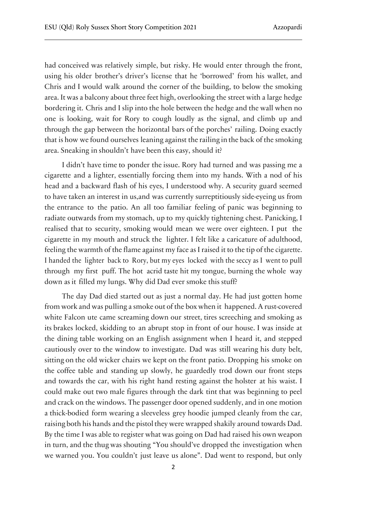had conceived was relatively simple, but risky. He would enter through the front, using his older brother's driver's license that he 'borrowed' from his wallet, and Chris and I would walk around the corner of the building, to below the smoking area. It was a balcony about three feet high, overlooking the street with a large hedge bordering it. Chris and I slip into the hole between the hedge and the wall when no one is looking, wait for Rory to cough loudly as the signal, and climb up and through the gap between the horizontal bars of the porches' railing. Doing exactly that is how we found ourselves leaning against the railing in the back of the smoking area. Sneaking in shouldn't have been this easy, should it?

I didn't have time to ponder the issue. Rory had turned and was passing me a cigarette and a lighter, essentially forcing them into my hands. With a nod of his head and a backward flash of his eyes, I understood why. A security guard seemed to have taken an interest in us,and was currently surreptitiously side-eyeing us from the entrance to the patio. An all too familiar feeling of panic was beginning to radiate outwards from my stomach, up to my quickly tightening chest. Panicking, I realised that to security, smoking would mean we were over eighteen. I put the cigarette in my mouth and struck the lighter. I felt like a caricature of adulthood, feeling the warmth of the flame against my face as I raised it to the tip of the cigarette. I handed the lighter back to Rory, but my eyes locked with the seccy as I went to pull through my first puff. The hot acrid taste hit my tongue, burning the whole way down as it filled my lungs. Why did Dad ever smoke this stuff?

The day Dad died started out as just a normal day. He had just gotten home from work and was pulling a smoke out of the box when it happened. A rust-covered white Falcon ute came screaming down our street, tires screeching and smoking as its brakes locked, skidding to an abrupt stop in front of our house. I was inside at the dining table working on an English assignment when I heard it, and stepped cautiously over to the window to investigate. Dad was still wearing his duty belt, sitting on the old wicker chairs we kept on the front patio. Dropping his smoke on the coffee table and standing up slowly, he guardedly trod down our front steps and towards the car, with his right hand resting against the holster at his waist. I could make out two male figures through the dark tint that was beginning to peel and crack on the windows. The passenger door opened suddenly, and in one motion a thick-bodied form wearing a sleeveless grey hoodie jumped cleanly from the car, raising both his hands and the pistol they were wrapped shakily around towards Dad. By the time I was able to register what was going on Dad had raised his own weapon in turn, and the thug was shouting "You should've dropped the investigation when we warned you. You couldn't just leave us alone". Dad went to respond, but only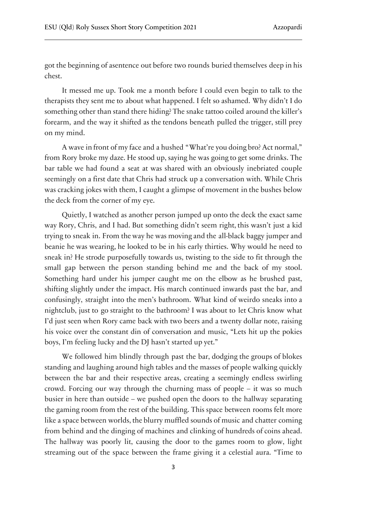got the beginning of asentence out before two rounds buried themselves deep in his chest.

It messed me up. Took me a month before I could even begin to talk to the therapists they sent me to about what happened. I felt so ashamed. Why didn't I do something other than stand there hiding? The snake tattoo coiled around the killer's forearm, and the way it shifted as the tendons beneath pulled the trigger, still prey on my mind.

A wave in front of my face and a hushed "What're you doing bro? Act normal," from Rory broke my daze. He stood up, saying he was going to get some drinks. The bar table we had found a seat at was shared with an obviously inebriated couple seemingly on a first date that Chris had struck up a conversation with. While Chris was cracking jokes with them, I caught a glimpse of movement in the bushes below the deck from the corner of my eye.

Quietly, I watched as another person jumped up onto the deck the exact same way Rory, Chris, and I had. But something didn't seem right, this wasn't just a kid trying to sneak in. From the way he was moving and the all-black baggy jumper and beanie he was wearing, he looked to be in his early thirties. Why would he need to sneak in? He strode purposefully towards us, twisting to the side to fit through the small gap between the person standing behind me and the back of my stool. Something hard under his jumper caught me on the elbow as he brushed past, shifting slightly under the impact. His march continued inwards past the bar, and confusingly, straight into the men's bathroom. What kind of weirdo sneaks into a nightclub, just to go straight to the bathroom? I was about to let Chris know what I'd just seen when Rory came back with two beers and a twenty dollar note, raising his voice over the constant din of conversation and music, "Lets hit up the pokies boys, I'm feeling lucky and the DJ hasn't started up yet."

We followed him blindly through past the bar, dodging the groups of blokes standing and laughing around high tables and the masses of people walking quickly between the bar and their respective areas, creating a seemingly endless swirling crowd. Forcing our way through the churning mass of people – it was so much busier in here than outside – we pushed open the doors to the hallway separating the gaming room from the rest of the building. This space between rooms felt more like a space between worlds, the blurry muffled sounds of music and chatter coming from behind and the dinging of machines and clinking of hundreds of coins ahead. The hallway was poorly lit, causing the door to the games room to glow, light streaming out of the space between the frame giving it a celestial aura. "Time to